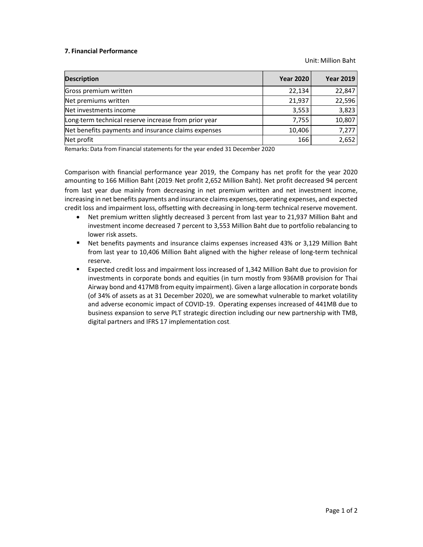## 7. Financial Performance

Unit: Million Baht

| <b>Description</b>                                   | <b>Year 2020</b> | <b>Year 2019</b> |
|------------------------------------------------------|------------------|------------------|
| Gross premium written                                | 22,134           | 22,847           |
| Net premiums written                                 | 21,937           | 22,596           |
| Net investments income                               | 3,553            | 3,823            |
| Long-term technical reserve increase from prior year | 7,755            | 10,807           |
| Net benefits payments and insurance claims expenses  | 10,406           | 7,277            |
| Net profit                                           | 166              | 2,652            |

Remarks: Data from Financial statements for the year ended 31 December 2020

Comparison with financial performance year 2019, the Company has net profit for the year 2020 amounting to 166 Million Baht (2019: Net profit 2,652 Million Baht). Net profit decreased 94 percent from last year due mainly from decreasing in net premium written and net investment income, increasing in net benefits payments and insurance claims expenses, operating expenses, and expected credit loss and impairment loss, offsetting with decreasing in long-term technical reserve movement.

- Net premium written slightly decreased 3 percent from last year to 21,937 Million Baht and investment income decreased 7 percent to 3,553 Million Baht due to portfolio rebalancing to lower risk assets.
- Net benefits payments and insurance claims expenses increased 43% or 3,129 Million Baht from last year to 10,406 Million Baht aligned with the higher release of long-term technical reserve.
- Expected credit loss and impairment loss increased of 1,342 Million Baht due to provision for investments in corporate bonds and equities (in turn mostly from 936MB provision for Thai Airway bond and 417MB from equity impairment). Given a large allocation in corporate bonds (of 34% of assets as at 31 December 2020), we are somewhat vulnerable to market volatility and adverse economic impact of COVID-19. Operating expenses increased of 441MB due to business expansion to serve PLT strategic direction including our new partnership with TMB, digital partners and IFRS 17 implementation cost.